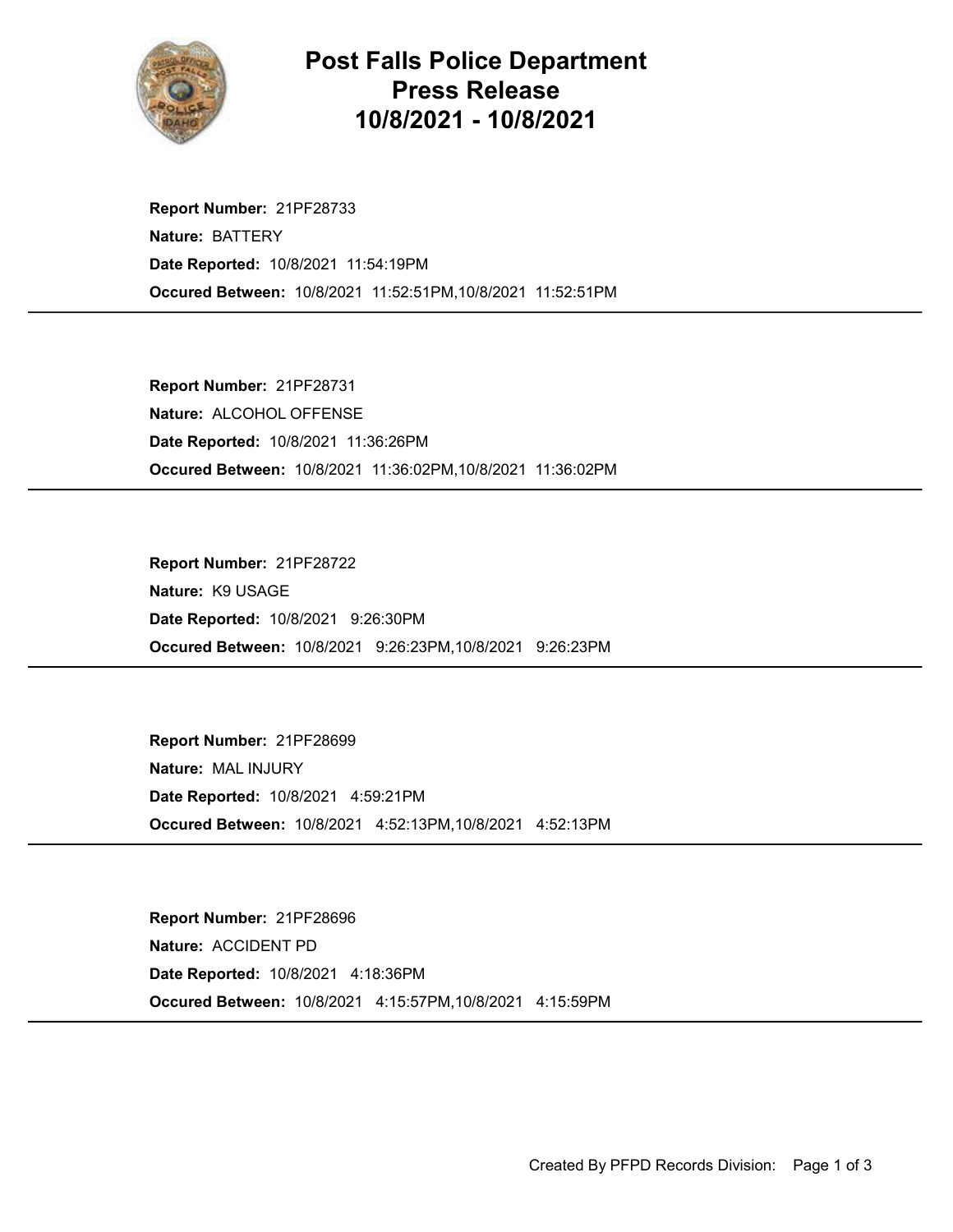

## Post Falls Police Department Press Release 10/8/2021 - 10/8/2021

Occured Between: 10/8/2021 11:52:51PM,10/8/2021 11:52:51PM Report Number: 21PF28733 Nature: BATTERY Date Reported: 10/8/2021 11:54:19PM

Occured Between: 10/8/2021 11:36:02PM,10/8/2021 11:36:02PM Report Number: 21PF28731 Nature: ALCOHOL OFFENSE Date Reported: 10/8/2021 11:36:26PM

Occured Between: 10/8/2021 9:26:23PM,10/8/2021 9:26:23PM Report Number: 21PF28722 Nature: K9 USAGE Date Reported: 10/8/2021 9:26:30PM

Occured Between: 10/8/2021 4:52:13PM,10/8/2021 4:52:13PM Report Number: 21PF28699 Nature: MAL INJURY Date Reported: 10/8/2021 4:59:21PM

Occured Between: 10/8/2021 4:15:57PM,10/8/2021 4:15:59PM Report Number: 21PF28696 Nature: ACCIDENT PD Date Reported: 10/8/2021 4:18:36PM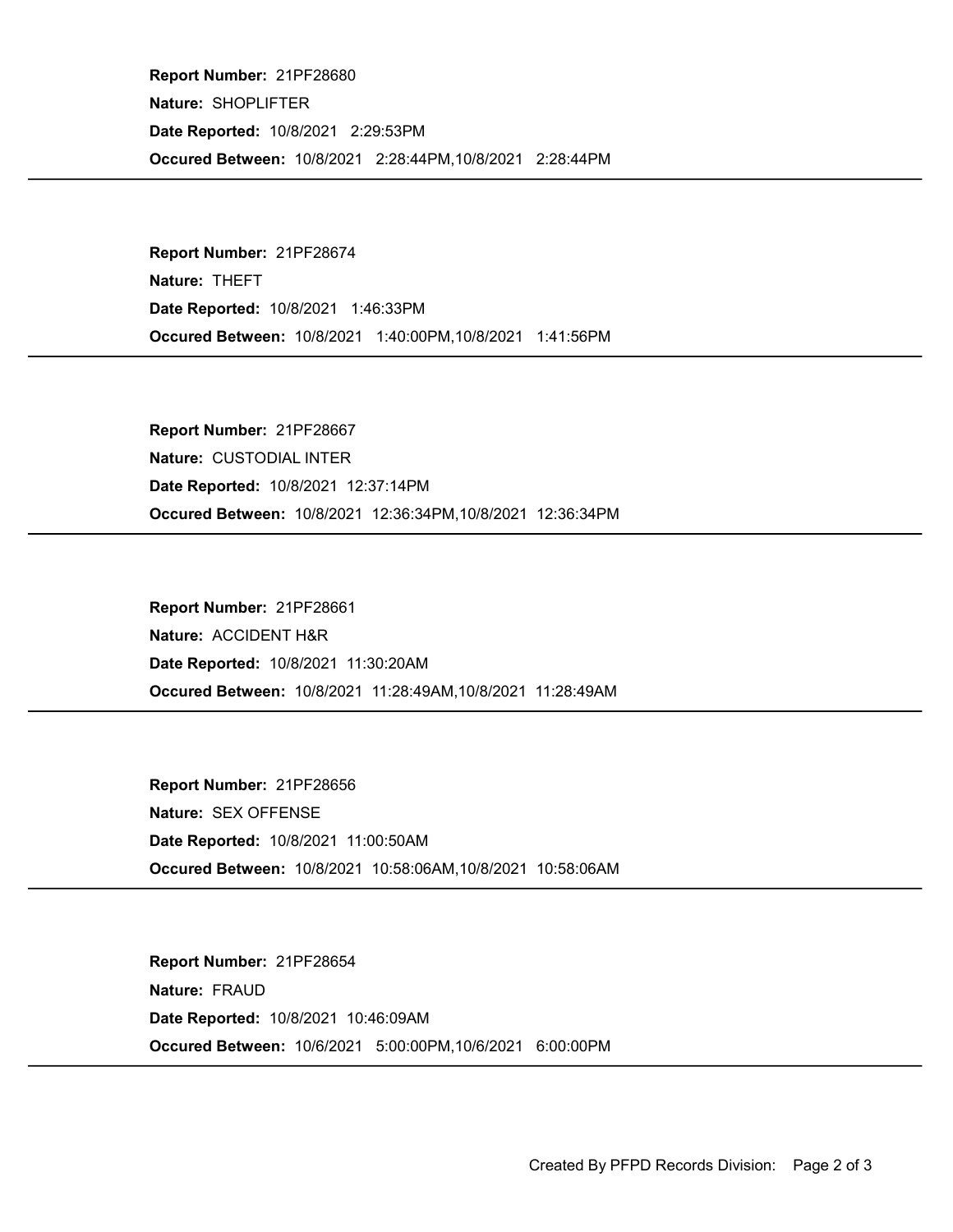Occured Between: 10/8/2021 2:28:44PM,10/8/2021 2:28:44PM Report Number: 21PF28680 Nature: SHOPLIFTER Date Reported: 10/8/2021 2:29:53PM

Occured Between: 10/8/2021 1:40:00PM,10/8/2021 1:41:56PM Report Number: 21PF28674 Nature: THEFT Date Reported: 10/8/2021 1:46:33PM

Occured Between: 10/8/2021 12:36:34PM,10/8/2021 12:36:34PM Report Number: 21PF28667 Nature: CUSTODIAL INTER Date Reported: 10/8/2021 12:37:14PM

Occured Between: 10/8/2021 11:28:49AM,10/8/2021 11:28:49AM Report Number: 21PF28661 Nature: ACCIDENT H&R Date Reported: 10/8/2021 11:30:20AM

Occured Between: 10/8/2021 10:58:06AM,10/8/2021 10:58:06AM Report Number: 21PF28656 Nature: SEX OFFENSE Date Reported: 10/8/2021 11:00:50AM

Occured Between: 10/6/2021 5:00:00PM,10/6/2021 6:00:00PM Report Number: 21PF28654 Nature: FRAUD Date Reported: 10/8/2021 10:46:09AM